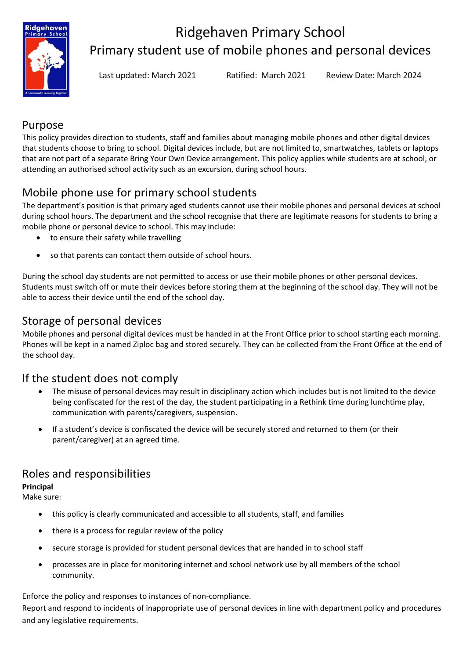

# Ridgehaven Primary School Primary student use of mobile phones and personal devices

Last updated: March 2021 Ratified: March 2021 Review Date: March 2024

### Purpose

This policy provides direction to students, staff and families about managing mobile phones and other digital devices that students choose to bring to school. Digital devices include, but are not limited to, smartwatches, tablets or laptops that are not part of a separate Bring Your Own Device arrangement. This policy applies while students are at school, or attending an authorised school activity such as an excursion, during school hours.

## Mobile phone use for primary school students

The department's position is that primary aged students cannot use their mobile phones and personal devices at school during school hours. The department and the school recognise that there are legitimate reasons for students to bring a mobile phone or personal device to school. This may include:

- to ensure their safety while travelling
- so that parents can contact them outside of school hours.

During the school day students are not permitted to access or use their mobile phones or other personal devices. Students must switch off or mute their devices before storing them at the beginning of the school day. They will not be able to access their device until the end of the school day.

### Storage of personal devices

Mobile phones and personal digital devices must be handed in at the Front Office prior to school starting each morning. Phones will be kept in a named Ziploc bag and stored securely. They can be collected from the Front Office at the end of the school day.

## If the student does not comply

- The misuse of personal devices may result in disciplinary action which includes but is not limited to the device being confiscated for the rest of the day, the student participating in a Rethink time during lunchtime play, communication with parents/caregivers, suspension.
- If a student's device is confiscated the device will be securely stored and returned to them (or their parent/caregiver) at an agreed time.

## Roles and responsibilities

#### **Principal**

Make sure:

- this policy is clearly communicated and accessible to all students, staff, and families
- there is a process for regular review of the policy
- secure storage is provided for student personal devices that are handed in to school staff
- processes are in place for monitoring internet and school network use by all members of the school community.

Enforce the policy and responses to instances of non-compliance.

Report and respond to incidents of inappropriate use of personal devices in line with department policy and procedures and any legislative requirements.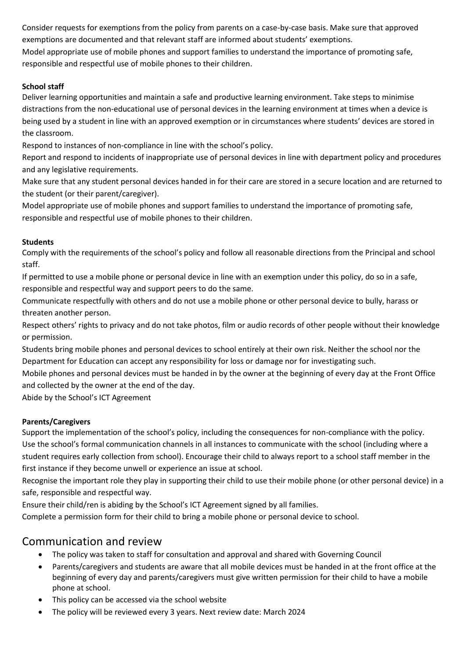Consider requests for exemptions from the policy from parents on a case-by-case basis. Make sure that approved exemptions are documented and that relevant staff are informed about students' exemptions. Model appropriate use of mobile phones and support families to understand the importance of promoting safe, responsible and respectful use of mobile phones to their children.

#### **School staff**

Deliver learning opportunities and maintain a safe and productive learning environment. Take steps to minimise distractions from the non-educational use of personal devices in the learning environment at times when a device is being used by a student in line with an approved exemption or in circumstances where students' devices are stored in the classroom.

Respond to instances of non-compliance in line with the school's policy.

Report and respond to incidents of inappropriate use of personal devices in line with department policy and procedures and any legislative requirements.

Make sure that any student personal devices handed in for their care are stored in a secure location and are returned to the student (or their parent/caregiver).

Model appropriate use of mobile phones and support families to understand the importance of promoting safe, responsible and respectful use of mobile phones to their children.

#### **Students**

Comply with the requirements of the school's policy and follow all reasonable directions from the Principal and school staff.

If permitted to use a mobile phone or personal device in line with an exemption under this policy, do so in a safe, responsible and respectful way and support peers to do the same.

Communicate respectfully with others and do not use a mobile phone or other personal device to bully, harass or threaten another person.

Respect others' rights to privacy and do not take photos, film or audio records of other people without their knowledge or permission.

Students bring mobile phones and personal devices to school entirely at their own risk. Neither the school nor the Department for Education can accept any responsibility for loss or damage nor for investigating such.

Mobile phones and personal devices must be handed in by the owner at the beginning of every day at the Front Office and collected by the owner at the end of the day.

Abide by the School's ICT Agreement

#### **Parents/Caregivers**

Support the implementation of the school's policy, including the consequences for non-compliance with the policy. Use the school's formal communication channels in all instances to communicate with the school (including where a student requires early collection from school). Encourage their child to always report to a school staff member in the first instance if they become unwell or experience an issue at school.

Recognise the important role they play in supporting their child to use their mobile phone (or other personal device) in a safe, responsible and respectful way.

Ensure their child/ren is abiding by the School's ICT Agreement signed by all families.

Complete a permission form for their child to bring a mobile phone or personal device to school.

### Communication and review

- The policy was taken to staff for consultation and approval and shared with Governing Council
- Parents/caregivers and students are aware that all mobile devices must be handed in at the front office at the beginning of every day and parents/caregivers must give written permission for their child to have a mobile phone at school.
- This policy can be accessed via the school website
- The policy will be reviewed every 3 years. Next review date: March 2024